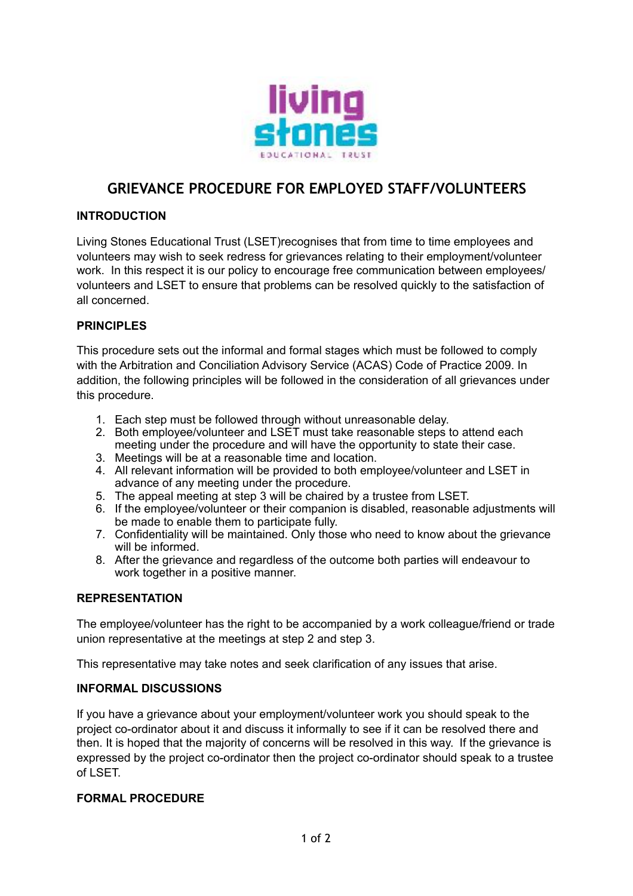

# **GRIEVANCE PROCEDURE FOR EMPLOYED STAFF/VOLUNTEERS**

### **INTRODUCTION**

Living Stones Educational Trust (LSET)recognises that from time to time employees and volunteers may wish to seek redress for grievances relating to their employment/volunteer work. In this respect it is our policy to encourage free communication between employees/ volunteers and LSET to ensure that problems can be resolved quickly to the satisfaction of all concerned.

## **PRINCIPLES**

This procedure sets out the informal and formal stages which must be followed to comply with the Arbitration and Conciliation Advisory Service (ACAS) Code of Practice 2009. In addition, the following principles will be followed in the consideration of all grievances under this procedure.

- 1. Each step must be followed through without unreasonable delay.
- 2. Both employee/volunteer and LSET must take reasonable steps to attend each meeting under the procedure and will have the opportunity to state their case.
- 3. Meetings will be at a reasonable time and location.
- 4. All relevant information will be provided to both employee/volunteer and LSET in advance of any meeting under the procedure.
- 5. The appeal meeting at step 3 will be chaired by a trustee from LSET.
- 6. If the employee/volunteer or their companion is disabled, reasonable adjustments will be made to enable them to participate fully.
- 7. Confidentiality will be maintained. Only those who need to know about the grievance will be informed.
- 8. After the grievance and regardless of the outcome both parties will endeavour to work together in a positive manner.

#### **REPRESENTATION**

The employee/volunteer has the right to be accompanied by a work colleague/friend or trade union representative at the meetings at step 2 and step 3.

This representative may take notes and seek clarification of any issues that arise.

#### **INFORMAL DISCUSSIONS**

If you have a grievance about your employment/volunteer work you should speak to the project co-ordinator about it and discuss it informally to see if it can be resolved there and then. It is hoped that the majority of concerns will be resolved in this way. If the grievance is expressed by the project co-ordinator then the project co-ordinator should speak to a trustee of LSET.

#### **FORMAL PROCEDURE**